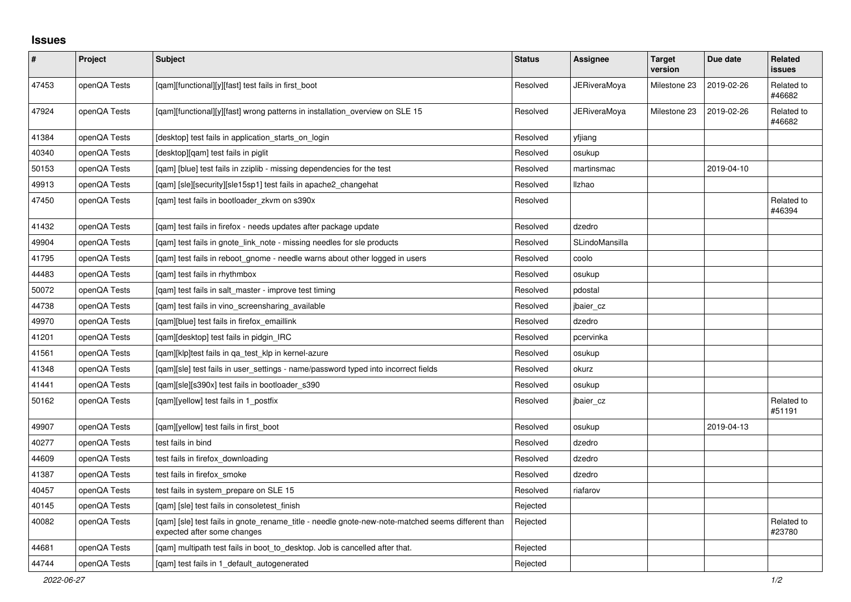## **Issues**

| $\vert$ # | Project      | <b>Subject</b>                                                                                                                   | <b>Status</b> | <b>Assignee</b>     | <b>Target</b><br>version | Due date   | <b>Related</b><br><b>issues</b> |
|-----------|--------------|----------------------------------------------------------------------------------------------------------------------------------|---------------|---------------------|--------------------------|------------|---------------------------------|
| 47453     | openQA Tests | [qam][functional][y][fast] test fails in first_boot                                                                              | Resolved      | JERiveraMoya        | Milestone 23             | 2019-02-26 | Related to<br>#46682            |
| 47924     | openQA Tests | [qam][functional][y][fast] wrong patterns in installation_overview on SLE 15                                                     | Resolved      | <b>JERiveraMoya</b> | Milestone 23             | 2019-02-26 | Related to<br>#46682            |
| 41384     | openQA Tests | [desktop] test fails in application starts on login                                                                              | Resolved      | yfjiang             |                          |            |                                 |
| 40340     | openQA Tests | [desktop][qam] test fails in piglit                                                                                              | Resolved      | osukup              |                          |            |                                 |
| 50153     | openQA Tests | [qam] [blue] test fails in zziplib - missing dependencies for the test                                                           | Resolved      | martinsmac          |                          | 2019-04-10 |                                 |
| 49913     | openQA Tests | [gam] [sle][security][sle15sp1] test fails in apache2 changehat                                                                  | Resolved      | Ilzhao              |                          |            |                                 |
| 47450     | openQA Tests | [gam] test fails in bootloader zkym on s390x                                                                                     | Resolved      |                     |                          |            | Related to<br>#46394            |
| 41432     | openQA Tests | [qam] test fails in firefox - needs updates after package update                                                                 | Resolved      | dzedro              |                          |            |                                 |
| 49904     | openQA Tests | [qam] test fails in gnote_link_note - missing needles for sle products                                                           | Resolved      | SLindoMansilla      |                          |            |                                 |
| 41795     | openQA Tests | [gam] test fails in reboot_gnome - needle warns about other logged in users                                                      | Resolved      | coolo               |                          |            |                                 |
| 44483     | openQA Tests | [gam] test fails in rhythmbox                                                                                                    | Resolved      | osukup              |                          |            |                                 |
| 50072     | openQA Tests | [gam] test fails in salt master - improve test timing                                                                            | Resolved      | pdostal             |                          |            |                                 |
| 44738     | openQA Tests | [qam] test fails in vino_screensharing_available                                                                                 | Resolved      | jbaier_cz           |                          |            |                                 |
| 49970     | openQA Tests | [qam][blue] test fails in firefox_emaillink                                                                                      | Resolved      | dzedro              |                          |            |                                 |
| 41201     | openQA Tests | [qam][desktop] test fails in pidgin_IRC                                                                                          | Resolved      | pcervinka           |                          |            |                                 |
| 41561     | openQA Tests | [gam][klp]test fails in ga test klp in kernel-azure                                                                              | Resolved      | osukup              |                          |            |                                 |
| 41348     | openQA Tests | [gam][sle] test fails in user settings - name/password typed into incorrect fields                                               | Resolved      | okurz               |                          |            |                                 |
| 41441     | openQA Tests | [gam][sle][s390x] test fails in bootloader s390                                                                                  | Resolved      | osukup              |                          |            |                                 |
| 50162     | openQA Tests | [qam][yellow] test fails in 1_postfix                                                                                            | Resolved      | jbaier_cz           |                          |            | Related to<br>#51191            |
| 49907     | openQA Tests | [gam][yellow] test fails in first boot                                                                                           | Resolved      | osukup              |                          | 2019-04-13 |                                 |
| 40277     | openQA Tests | test fails in bind                                                                                                               | Resolved      | dzedro              |                          |            |                                 |
| 44609     | openQA Tests | test fails in firefox_downloading                                                                                                | Resolved      | dzedro              |                          |            |                                 |
| 41387     | openQA Tests | test fails in firefox smoke                                                                                                      | Resolved      | dzedro              |                          |            |                                 |
| 40457     | openQA Tests | test fails in system prepare on SLE 15                                                                                           | Resolved      | riafarov            |                          |            |                                 |
| 40145     | openQA Tests | [gam] [sle] test fails in consoletest finish                                                                                     | Rejected      |                     |                          |            |                                 |
| 40082     | openQA Tests | [gam] [sle] test fails in gnote_rename_title - needle gnote-new-note-matched seems different than<br>expected after some changes | Rejected      |                     |                          |            | Related to<br>#23780            |
| 44681     | openQA Tests | [qam] multipath test fails in boot_to_desktop. Job is cancelled after that.                                                      | Rejected      |                     |                          |            |                                 |
| 44744     | openQA Tests | [gam] test fails in 1 default autogenerated                                                                                      | Rejected      |                     |                          |            |                                 |